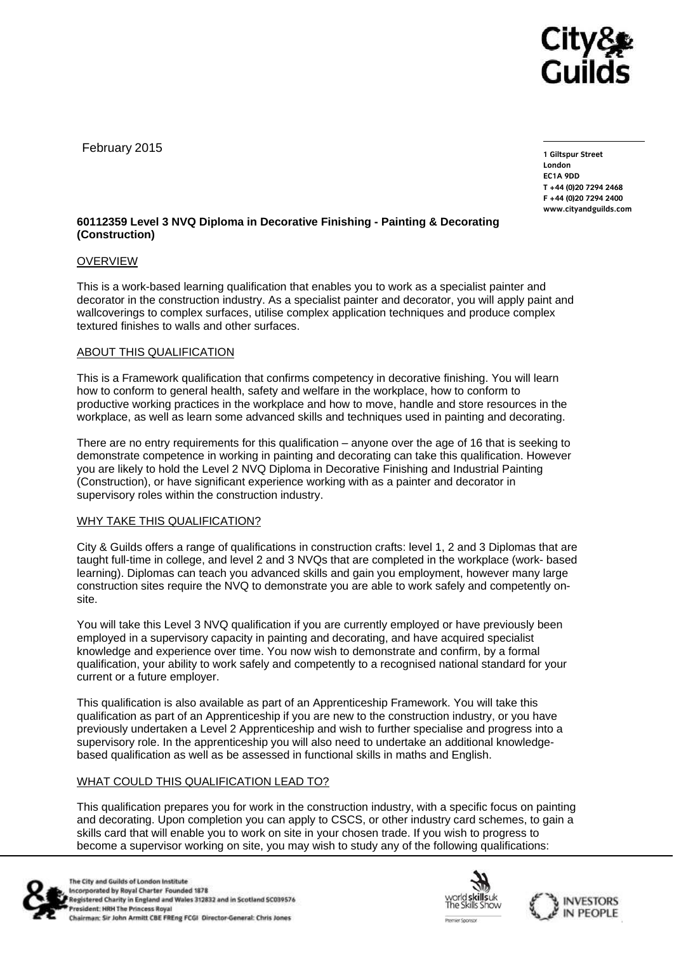

February 2015

**1 Giltspur Street EC1A 9DD** T +44 (0) 20 7 294 2468 **T +44 (0)20 7294 246[8](http://www.cityandguilds.com/) F +44** (1)<br>Example of the and quilds as **[www.cityandguilds.com](http://www.cityandguilds.com/)**

## **60112359 Level 3 NVQ Diploma in Decorative Finishing - Painting & Decorating (Construction)**

## OVERVIEW

This is a work-based learning qualification that enables you to work as a specialist painter and decorator in the construction industry. As a specialist painter and decorator, you will apply paint and wallcoverings to complex surfaces, utilise complex application techniques and produce complex textured finishes to walls and other surfaces.

## ABOUT THIS QUALIFICATION

This is a Framework qualification that confirms competency in decorative finishing. You will learn how to conform to general health, safety and welfare in the workplace, how to conform to productive working practices in the workplace and how to move, handle and store resources in the workplace, as well as learn some advanced skills and techniques used in painting and decorating.

There are no entry requirements for this qualification – anyone over the age of 16 that is seeking to demonstrate competence in working in painting and decorating can take this qualification. However you are likely to hold the Level 2 NVQ Diploma in Decorative Finishing and Industrial Painting (Construction), or have significant experience working with as a painter and decorator in supervisory roles within the construction industry.

#### WHY TAKE THIS QUALIFICATION?

City & Guilds offers a range of qualifications in construction crafts: level 1, 2 and 3 Diplomas that are taught full-time in college, and level 2 and 3 NVQs that are completed in the workplace (work- based learning). Diplomas can teach you advanced skills and gain you employment, however many large construction sites require the NVQ to demonstrate you are able to work safely and competently onsite.

You will take this Level 3 NVQ qualification if you are currently employed or have previously been employed in a supervisory capacity in painting and decorating, and have acquired specialist knowledge and experience over time. You now wish to demonstrate and confirm, by a formal qualification, your ability to work safely and competently to a recognised national standard for your current or a future employer.

This qualification is also available as part of an Apprenticeship Framework. You will take this qualification as part of an Apprenticeship if you are new to the construction industry, or you have previously undertaken a Level 2 Apprenticeship and wish to further specialise and progress into a supervisory role. In the apprenticeship you will also need to undertake an additional knowledgebased qualification as well as be assessed in functional skills in maths and English.

# WHAT COULD THIS QUALIFICATION LEAD TO?

This qualification prepares you for work in the construction industry, with a specific focus on painting and decorating. Upon completion you can apply to CSCS, or other industry card schemes, to gain a skills card that will enable you to work on site in your chosen trade. If you wish to progress to become a supervisor working on site, you may wish to study any of the following qualifications: